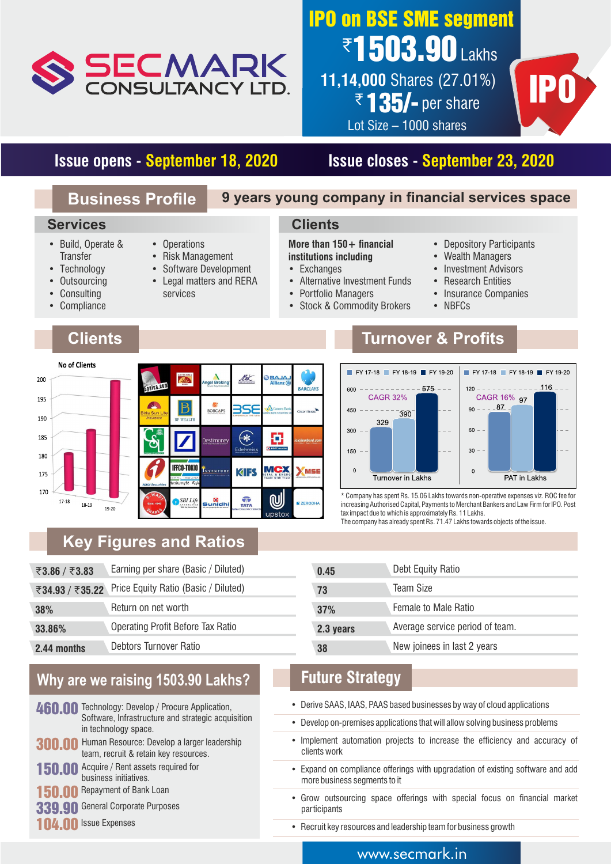

# ₹**1503.90** Lakhs IPO on BSE SME segment

**11,14,000** Shares (27.01%) 1,000 Shares (27.01%)<br>₹135/- per share **IPO** Lot Size – 1000 shares



## **Issue opens - September 18, 2020 Issue closes - September 23, 2020**

### **Business Profile 9 years young company in financial services space**

### **Services**

- Build, Operate & **Transfer**
- Technology
- Outsourcing
- **Consulting**
- Compliance

## **Clients**

- Operations
- Risk Management
- Software Development
- Legal matters and RERA
	- services
- **institutions including** • Exchanges

**Clients**

- Alternative Investment Funds
- Portfolio Managers

More than 150+ financial

- Stock & Commodity Brokers
- Depository Participants
- Wealth Managers
- Investment Advisors
- Research Entities
- Insurance Companies
- NBFCs



## **Turnover & Profits**



\* Company has spent Rs. 15.06 Lakhs towards non-operative expenses viz. ROC fee for increasing Authorised Capital, Payments to Merchant Bankers and Law Firm for IPO. Post tax impact due to which is approximately Rs. 11 Lakhs.

The company has already spent Rs. 71.47 Lakhs towards objects of the issue.

## **Key Figures and Ratios**

| ₹3.86 / ₹3.83 | Earning per share (Basic / Diluted)                  | 0.45      | Debt Equity Ratio               |
|---------------|------------------------------------------------------|-----------|---------------------------------|
|               | ₹34.93 / ₹35.22 Price Equity Ratio (Basic / Diluted) | 73        | <b>Team Size</b>                |
| 38%           | Return on net worth                                  | 37%       | Female to Male Ratio            |
| 33.86%        | <b>Operating Profit Before Tax Ratio</b>             | 2.3 years | Average service period of team. |
| 2.44 months   | Debtors Turnover Ratio                               | 38        | New joinees in last 2 years     |

## **Why are we raising 1503.90 Lakhs?**

- 460.00 Technology: Develop / Procure Application, Software, Infrastructure and strategic acquisition in technology space.
- 300.00 Human Resource: Develop a larger leadership team, recruit & retain key resources. 150.00 Acquire / Rent assets required for
- business initiatives. **Repayment of Bank Loan**
- 
- 339.90 General Corporate Purposes
- 104.00 Issue Expenses

| 73        | IRAIII OIZR                     |
|-----------|---------------------------------|
| 37%       | <b>Female to Male Ratio</b>     |
| 2.3 years | Average service period of team. |
| 38        | New joinees in last 2 years     |
|           |                                 |

## **Future Strategy**

- Derive SAAS, IAAS, PAAS based businesses by way of cloud applications
- Develop on-premises applications that will allow solving business problems
- Implement automation projects to increase the efficiency and accuracy of clients work
- Expand on compliance offerings with upgradation of existing software and add more business segments to it
- Grow outsourcing space offerings with special focus on financial market participants
- Recruit key resources and leadership team for business growth